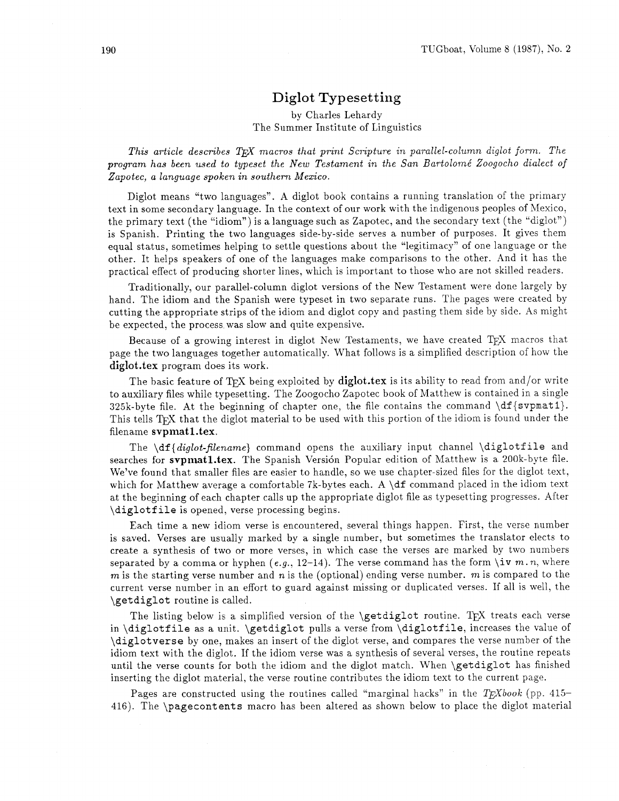# **Diglot Typesetting**

#### by Charles Lehardy The Summer Institute of Linguistics

*This article describes* T&X *macros that print Scripture in parallel-column diglot form. The program has been used to typeset the New Testament in the San Bartolome' Zoogocho dialect of Zapotec, a language spoken in southern Mexico.* 

Diglot means "two languages". A diglot book contains a running translation of the primary text in some secondary language. In the context of our work with the indigenous peoples of Mexico, the primary text (the "idiom") is a language such as Zapotec, and the secondary text (the "diglot") is Spanish. Printing the two languages side-by-side serves a number of purposes. It gives them equal status, sometimes helping to settle questions about the "legitimacy" of one language or the other. It helps speakers of one of the languages make comparisons to the other. And it has the practical effect of producing shorter lines. which is important to those who are not skilled readers.

Traditionally, our parallel-column diglot versions of the New Testament were done largely by hand. The idiom and the Spanish were typeset in two separate runs. The pages were created by cutting the appropriate strips of the idiom and diglot copy and pasting them side by side. As might be expected, the process was slow and quite expensive.

Because of a growing interest in diglot New Testaments, we have created T<sub>F</sub>X macros that page the two languages together automatically. What follows is a simplified description of how the **diglot.tex** program does its work.

The basic feature of T<sub>F</sub>X being exploited by **diglot.tex** is its ability to read from and/or write to auxiliary files while typesetting. The Zoogocho Zapotec book of Matthew is contained in a single 325k-byte file. At the beginning of chapter one, the file contains the command  $df{svpmat1}$ . This tells TFX that the diglot material to be used with this portion of the idiom is found under the filename **svpmatl.tex.** 

The \df { *diglot-filename)* command opens the auxiliary input channel \diglotf ile and searches for svpmat1.tex. The Spanish Versión Popular edition of Matthew is a 200k-byte file. We've found that smaller files are easier to handle, so we use chapter-sized files for the diglot text, which for Matthew average a comfortable 7k-bytes each. A  $\dagger$  command placed in the idiom text at the beginning of each chapter calls up the appropriate diglot file as typesetting progresses. After \diglotf ile is opened, verse processing begins.

Each time a new idiom verse is encountered, several things happen. First, the verse number is saved. Verses are usually marked by a single number, but sometimes the translator elects to create a synthesis of two or more verses, in which case the verses are marked by two numbers separated by a comma or hyphen  $(e.g., 12-14)$ . The verse command has the form  $\iota v \mathbf{m} \cdot n$ , where *m* is the starting verse number and n is the (optional) ending verse number. m is compared to the current verse number in an effort to guard against missing or duplicated verses. If all is well, the \getdiglot routine is called.

The listing below is a simplified version of the  $\get$  digital routine. The treats each verse in \diglotfile as a unit. \getdiglot pulls a verse from \diglotf ile, increases the value of \diglotverse by one, makes an insert of the diglot verse, and compares the verse number of the idiom text with the diglot. If the idiom verse was a synthesis of several verses, the routine repeats until the verse counts for both the idiom and the diglot match. When \getdiglot has finished inserting the diglot material, the verse routine contributes the idiom text to the current page.

Pages are constructed using the routines called "marginal hacks" in the  $T_fXbook$  (pp. 415-416). The \pagecontents macro has been altered as shown below to place the diglot material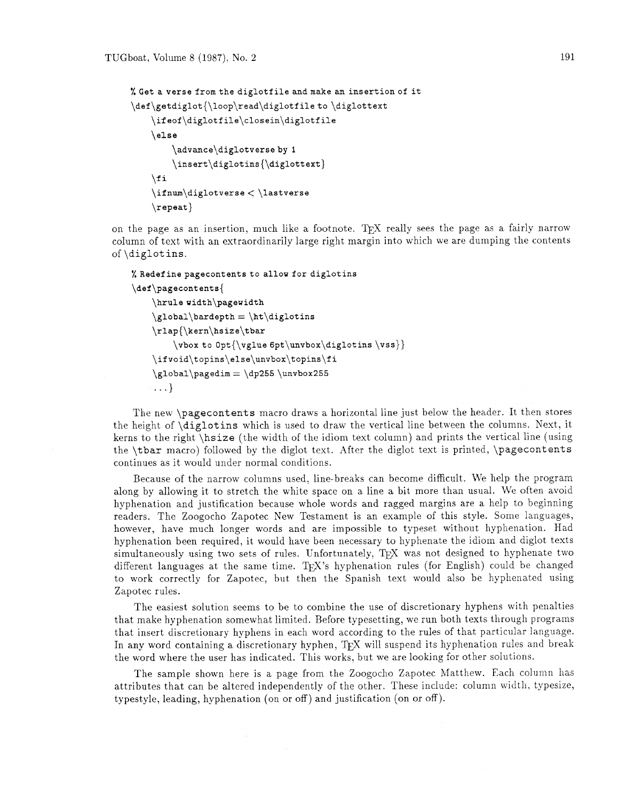```
%Get averse fromthe diglotfile andmake an insertionof it 
\def\getdiglot{\loop\read\diglotfileto \diglottext 
    \ifeof\diglotfile\closein\diglotfile 
    \else 
         \advance\diglotverseby I 
         \insert\diglotins{\diglottext) 
    \chii
    \ifnum\displaystyle\bigcup\bigcup\limits_{s\in s}C\big\}\verb|\repeat|
```
on the page as an insertion, much like a footnote. The really sees the page as a fairly narrow column of text with an extraordinarily large right margin into which we are dumping the contents of \diglotins.

```
% Redefine pagecontents to allow for diglotins
\def\pagecontents{
    \hrule width\pagewidth
    \global\bar\phi = \ht\diglotins\rlap{\kern\hsize\tbar
        \vbox to 0pt{\vglue 6pt\unvbox\diglotins \vss}}
    \ifvoid\topins\else\unvbox\topins\fi
    \globa1\pagedim = \dp255\unvbox255\ldots
```
The new \pagecontents macro draws a horizontal line just below the header. It then stores the height of \diglotins which is used to draw the vertical line between the columns. Next, it kerns to the right \hsize (the width of the idiom text column) and prints the vertical line (using the \tbar macro) followed by the diglot text. After the diglot text is printed, \pagecontents continues as it would under normal conditions.

Because of the narrow columns used, line-breaks can become difficult. We help the program along by allowing it to stretch the white space on a line a bit more than usual. We often avoid hyphenation and justification because whole words and ragged margins are a help to beginning readers. The Zoogocho Zapotec New Testament is an example of this style. Some languages, however, have much longer words and are impossible to typeset without hyphenation. Had hyphenation been required, it would have been necessary to hyphenate the idiom and diglot texts simultaneously using two sets of rules. Unfortunately, TFX was not designed to hyphenate two different languages at the same time. TpX's hyphenation rules (for English) could be changed to work correctly for Zapotec, but then the Spanish text would also be hyphenated using Zapotec rules.

The easiest solution seems to be to combine the use of discretionary hyphens with penalties that make hyphenation somewhat limited. Before typesetting, we run both texts through programs that insert discretionary hyphens in each word according to the rules of that particular language. In any word containing a discretionary hyphen,  $T_{\rm F}X$  will suspend its hyphenation rules and break the word where the user has indicated. This works, but we are looking for other solutions.

The sample shown here is a page from the Zoogocho Zapotec Matthew. Each column has attributes that can be altered independently of the other. These include: column width, typesize, typestyle, leading, hyphenation (on or off) and justification (on or off).